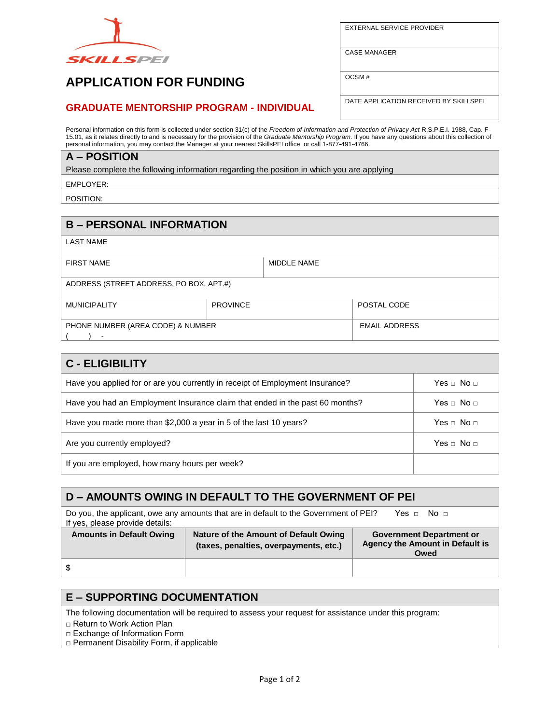

EXTERNAL SERVICE PROVIDER

CASE MANAGER

OCSM #

# **APPLICATION FOR FUNDING**

### **GRADUATE MENTORSHIP PROGRAM - INDIVIDUAL**

DATE APPLICATION RECEIVED BY SKILLSPEI

Personal information on this form is collected under section 31(c) of the *Freedom of Information and Protection of Privacy Act* R.S.P.E.I. 1988, Cap. F-15.01, as it relates directly to and is necessary for the provision of the *Graduate Mentorship Program*. If you have any questions about this collection of personal information, you may contact the Manager at your nearest SkillsPEI office, or call 1-877-491-4766.

### **A – POSITION**

Please complete the following information regarding the position in which you are applying

EMPLOYER:

POSITION:

# **B – PERSONAL INFORMATION**

LAST NAME

| <b>FIRST NAME</b>                       |                 | MIDDLE NAME |                      |  |
|-----------------------------------------|-----------------|-------------|----------------------|--|
|                                         |                 |             |                      |  |
| ADDRESS (STREET ADDRESS, PO BOX, APT.#) |                 |             |                      |  |
| <b>MUNICIPALITY</b>                     | <b>PROVINCE</b> |             | POSTAL CODE          |  |
| PHONE NUMBER (AREA CODE) & NUMBER       |                 |             | <b>EMAIL ADDRESS</b> |  |
|                                         |                 |             |                      |  |

| <b>C - ELIGIBILITY</b>                                                        |                          |  |
|-------------------------------------------------------------------------------|--------------------------|--|
| Have you applied for or are you currently in receipt of Employment Insurance? | Yes $\sqcap$ No $\sqcap$ |  |
| Have you had an Employment Insurance claim that ended in the past 60 months?  | Yes □ No □               |  |
| Have you made more than \$2,000 a year in 5 of the last 10 years?             | Yes $\sqcap$ No $\sqcap$ |  |
| Are you currently employed?                                                   | Yes $\sqcap$ No $\sqcap$ |  |
| If you are employed, how many hours per week?                                 |                          |  |

#### **D – AMOUNTS OWING IN DEFAULT TO THE GOVERNMENT OF PEI** Do you, the applicant, owe any amounts that are in default to the Government of PEI? Yes  $\Box$  No  $\Box$ If yes, please provide details: **Amounts in Default Owing Nature of the Amount of Default Owing (taxes, penalties, overpayments, etc.) Government Department or Agency the Amount in Default is Owed** \$

### **E – SUPPORTING DOCUMENTATION**

The following documentation will be required to assess your request for assistance under this program:

□ Return to Work Action Plan

□ Exchange of Information Form

□ Permanent Disability Form, if applicable